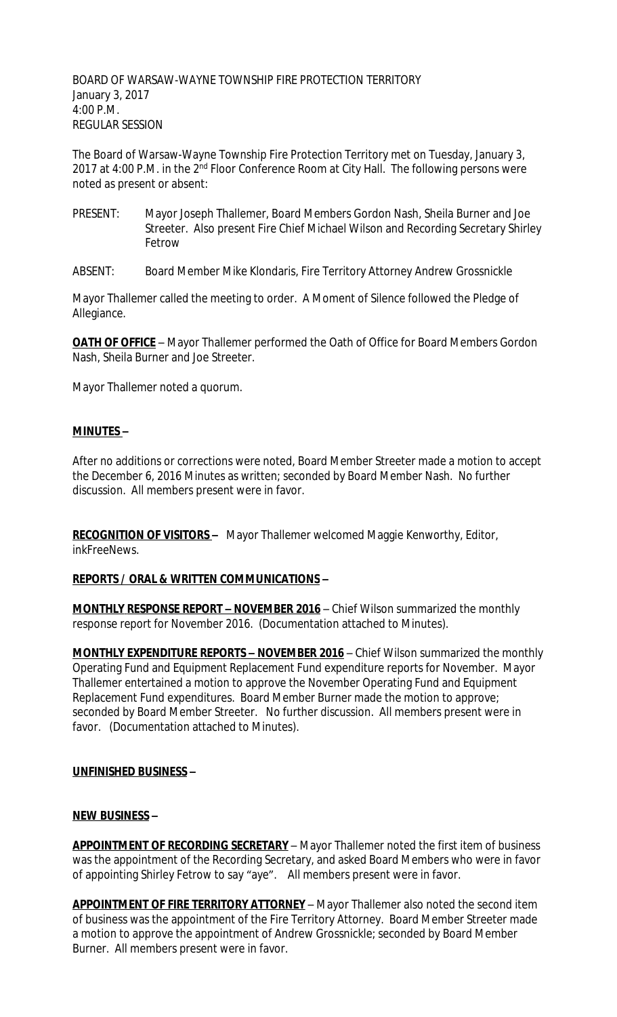BOARD OF WARSAW-WAYNE TOWNSHIP FIRE PROTECTION TERRITORY January 3, 2017 4:00 P.M. REGULAR SESSION

The Board of Warsaw-Wayne Township Fire Protection Territory met on Tuesday, January 3, 2017 at 4:00 P.M. in the 2<sup>nd</sup> Floor Conference Room at City Hall. The following persons were noted as present or absent:

- PRESENT: Mayor Joseph Thallemer, Board Members Gordon Nash, Sheila Burner and Joe Streeter. Also present Fire Chief Michael Wilson and Recording Secretary Shirley Fetrow
- ABSENT: Board Member Mike Klondaris, Fire Territory Attorney Andrew Grossnickle

Mayor Thallemer called the meeting to order. A Moment of Silence followed the Pledge of Allegiance.

**OATH OF OFFICE** - Mayor Thallemer performed the Oath of Office for Board Members Gordon Nash, Sheila Burner and Joe Streeter.

Mayor Thallemer noted a quorum.

# **MINUTES –**

After no additions or corrections were noted, Board Member Streeter made a motion to accept the December 6, 2016 Minutes as written; seconded by Board Member Nash. No further discussion. All members present were in favor.

**RECOGNITION OF VISITORS –** Mayor Thallemer welcomed Maggie Kenworthy, Editor, inkFreeNews.

## **REPORTS / ORAL & WRITTEN COMMUNICATIONS –**

**MONTHLY RESPONSE REPORT – NOVEMBER 2016** – Chief Wilson summarized the monthly response report for November 2016. (Documentation attached to Minutes).

**MONTHLY EXPENDITURE REPORTS – NOVEMBER 2016** – Chief Wilson summarized the monthly Operating Fund and Equipment Replacement Fund expenditure reports for November. Mayor Thallemer entertained a motion to approve the November Operating Fund and Equipment Replacement Fund expenditures. Board Member Burner made the motion to approve; seconded by Board Member Streeter. No further discussion. All members present were in favor. (Documentation attached to Minutes).

## **UNFINISHED BUSINESS –**

## **NEW BUSINESS –**

**APPOINTMENT OF RECORDING SECRETARY** – Mayor Thallemer noted the first item of business was the appointment of the Recording Secretary, and asked Board Members who were in favor of appointing Shirley Fetrow to say "aye". All members present were in favor.

**APPOINTMENT OF FIRE TERRITORY ATTORNEY** – Mayor Thallemer also noted the second item of business was the appointment of the Fire Territory Attorney. Board Member Streeter made a motion to approve the appointment of Andrew Grossnickle; seconded by Board Member Burner. All members present were in favor.